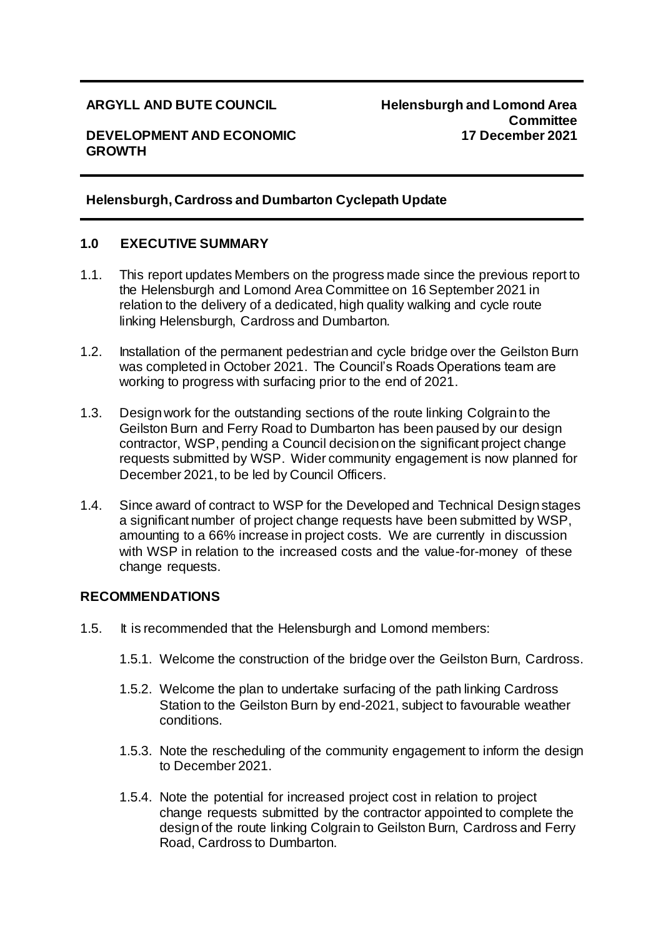## **DEVELOPMENT AND ECONOMIC GROWTH**

#### **ARGYLL AND BUTE COUNCIL Helensburgh and Lomond Area Committee 17 December 2021**

## **Helensburgh, Cardross and Dumbarton Cyclepath Update**

#### **1.0 EXECUTIVE SUMMARY**

- 1.1. This report updates Members on the progress made since the previous report to the Helensburgh and Lomond Area Committee on 16 September 2021 in relation to the delivery of a dedicated, high quality walking and cycle route linking Helensburgh, Cardross and Dumbarton.
- 1.2. Installation of the permanent pedestrian and cycle bridge over the Geilston Burn was completed in October 2021. The Council's Roads Operations team are working to progress with surfacing prior to the end of 2021.
- 1.3. Design work for the outstanding sections of the route linking Colgrain to the Geilston Burn and Ferry Road to Dumbarton has been paused by our design contractor, WSP, pending a Council decision on the significant project change requests submitted by WSP. Wider community engagement is now planned for December 2021, to be led by Council Officers.
- 1.4. Since award of contract to WSP for the Developed and Technical Design stages a significant number of project change requests have been submitted by WSP, amounting to a 66% increase in project costs. We are currently in discussion with WSP in relation to the increased costs and the value-for-money of these change requests.

#### **RECOMMENDATIONS**

- 1.5. It is recommended that the Helensburgh and Lomond members:
	- 1.5.1. Welcome the construction of the bridge over the Geilston Burn, Cardross.
	- 1.5.2. Welcome the plan to undertake surfacing of the path linking Cardross Station to the Geilston Burn by end-2021, subject to favourable weather conditions.
	- 1.5.3. Note the rescheduling of the community engagement to inform the design to December 2021.
	- 1.5.4. Note the potential for increased project cost in relation to project change requests submitted by the contractor appointed to complete the design of the route linking Colgrain to Geilston Burn, Cardross and Ferry Road, Cardross to Dumbarton.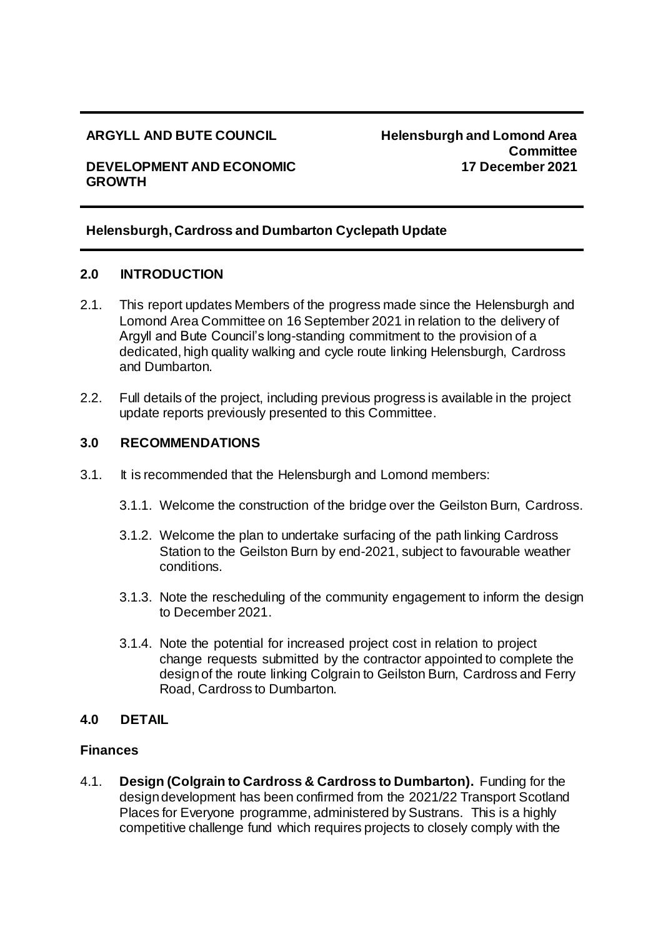#### **ARGYLL AND BUTE COUNCIL Helensburgh and Lomond Area Committee 17 December 2021**

#### **DEVELOPMENT AND ECONOMIC GROWTH**

## **Helensburgh, Cardross and Dumbarton Cyclepath Update**

#### **2.0 INTRODUCTION**

- 2.1. This report updates Members of the progress made since the Helensburgh and Lomond Area Committee on 16 September 2021 in relation to the delivery of Argyll and Bute Council's long-standing commitment to the provision of a dedicated, high quality walking and cycle route linking Helensburgh, Cardross and Dumbarton.
- 2.2. Full details of the project, including previous progress is available in the project update reports previously presented to this Committee.

## **3.0 RECOMMENDATIONS**

- 3.1. It is recommended that the Helensburgh and Lomond members:
	- 3.1.1. Welcome the construction of the bridge over the Geilston Burn, Cardross.
	- 3.1.2. Welcome the plan to undertake surfacing of the path linking Cardross Station to the Geilston Burn by end-2021, subject to favourable weather conditions.
	- 3.1.3. Note the rescheduling of the community engagement to inform the design to December 2021.
	- 3.1.4. Note the potential for increased project cost in relation to project change requests submitted by the contractor appointed to complete the design of the route linking Colgrain to Geilston Burn, Cardross and Ferry Road, Cardross to Dumbarton.

#### **4.0 DETAIL**

#### **Finances**

4.1. **Design (Colgrain to Cardross & Cardross to Dumbarton).** Funding for the design development has been confirmed from the 2021/22 Transport Scotland Places for Everyone programme, administered by Sustrans. This is a highly competitive challenge fund which requires projects to closely comply with the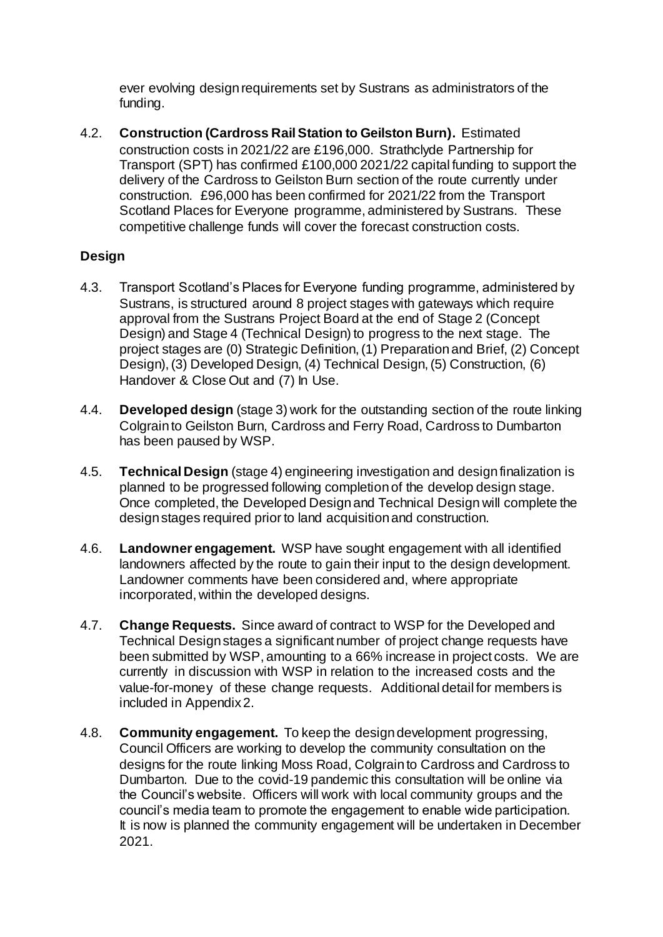ever evolving design requirements set by Sustrans as administrators of the funding.

4.2. **Construction (Cardross Rail Station to Geilston Burn).** Estimated construction costs in 2021/22 are £196,000. Strathclyde Partnership for Transport (SPT) has confirmed £100,000 2021/22 capital funding to support the delivery of the Cardross to Geilston Burn section of the route currently under construction. £96,000 has been confirmed for 2021/22 from the Transport Scotland Places for Everyone programme, administered by Sustrans. These competitive challenge funds will cover the forecast construction costs.

## **Design**

- 4.3. Transport Scotland's Places for Everyone funding programme, administered by Sustrans, is structured around 8 project stages with gateways which require approval from the Sustrans Project Board at the end of Stage 2 (Concept Design) and Stage 4 (Technical Design) to progress to the next stage. The project stages are (0) Strategic Definition, (1) Preparation and Brief, (2) Concept Design), (3) Developed Design, (4) Technical Design, (5) Construction, (6) Handover & Close Out and (7) In Use.
- 4.4. **Developed design** (stage 3) work for the outstanding section of the route linking Colgrain to Geilston Burn, Cardross and Ferry Road, Cardross to Dumbarton has been paused by WSP.
- 4.5. **Technical Design** (stage 4) engineering investigation and design finalization is planned to be progressed following completion of the develop design stage. Once completed, the Developed Design and Technical Design will complete the design stages required prior to land acquisition and construction.
- 4.6. **Landowner engagement.** WSP have sought engagement with all identified landowners affected by the route to gain their input to the design development. Landowner comments have been considered and, where appropriate incorporated, within the developed designs.
- 4.7. **Change Requests.** Since award of contract to WSP for the Developed and Technical Design stages a significant number of project change requests have been submitted by WSP, amounting to a 66% increase in project costs. We are currently in discussion with WSP in relation to the increased costs and the value-for-money of these change requests. Additional detail for members is included in Appendix 2.
- 4.8. **Community engagement.** To keep the design development progressing, Council Officers are working to develop the community consultation on the designs for the route linking Moss Road, Colgrain to Cardross and Cardross to Dumbarton. Due to the covid-19 pandemic this consultation will be online via the Council's website. Officers will work with local community groups and the council's media team to promote the engagement to enable wide participation. It is now is planned the community engagement will be undertaken in December 2021.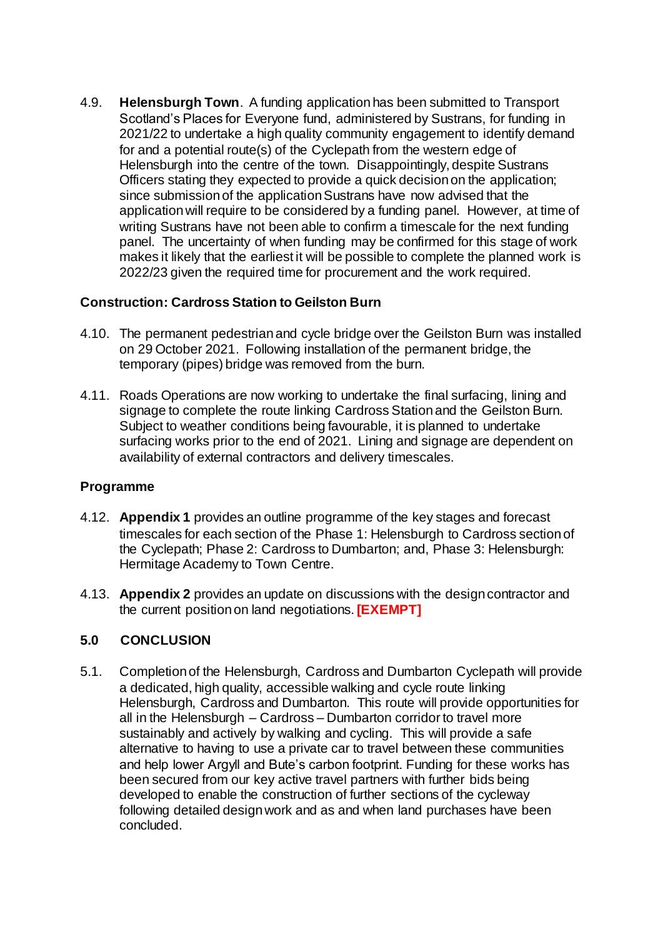4.9. **Helensburgh Town**. A funding application has been submitted to Transport Scotland's Places for Everyone fund, administered by Sustrans, for funding in 2021/22 to undertake a high quality community engagement to identify demand for and a potential route(s) of the Cyclepath from the western edge of Helensburgh into the centre of the town. Disappointingly, despite Sustrans Officers stating they expected to provide a quick decision on the application; since submission of the application Sustrans have now advised that the application will require to be considered by a funding panel. However, at time of writing Sustrans have not been able to confirm a timescale for the next funding panel. The uncertainty of when funding may be confirmed for this stage of work makes it likely that the earliest it will be possible to complete the planned work is 2022/23 given the required time for procurement and the work required.

# **Construction: Cardross Station to Geilston Burn**

- 4.10. The permanent pedestrian and cycle bridge over the Geilston Burn was installed on 29 October 2021. Following installation of the permanent bridge, the temporary (pipes) bridge was removed from the burn.
- 4.11. Roads Operations are now working to undertake the final surfacing, lining and signage to complete the route linking Cardross Station and the Geilston Burn. Subject to weather conditions being favourable, it is planned to undertake surfacing works prior to the end of 2021. Lining and signage are dependent on availability of external contractors and delivery timescales.

#### **Programme**

- 4.12. **Appendix 1** provides an outline programme of the key stages and forecast timescales for each section of the Phase 1: Helensburgh to Cardross section of the Cyclepath; Phase 2: Cardross to Dumbarton; and, Phase 3: Helensburgh: Hermitage Academy to Town Centre.
- 4.13. **Appendix 2** provides an update on discussions with the design contractor and the current position on land negotiations. **[EXEMPT]**

# **5.0 CONCLUSION**

5.1. Completion of the Helensburgh, Cardross and Dumbarton Cyclepath will provide a dedicated, high quality, accessible walking and cycle route linking Helensburgh, Cardross and Dumbarton. This route will provide opportunities for all in the Helensburgh – Cardross – Dumbarton corridor to travel more sustainably and actively by walking and cycling. This will provide a safe alternative to having to use a private car to travel between these communities and help lower Argyll and Bute's carbon footprint. Funding for these works has been secured from our key active travel partners with further bids being developed to enable the construction of further sections of the cycleway following detailed design work and as and when land purchases have been concluded.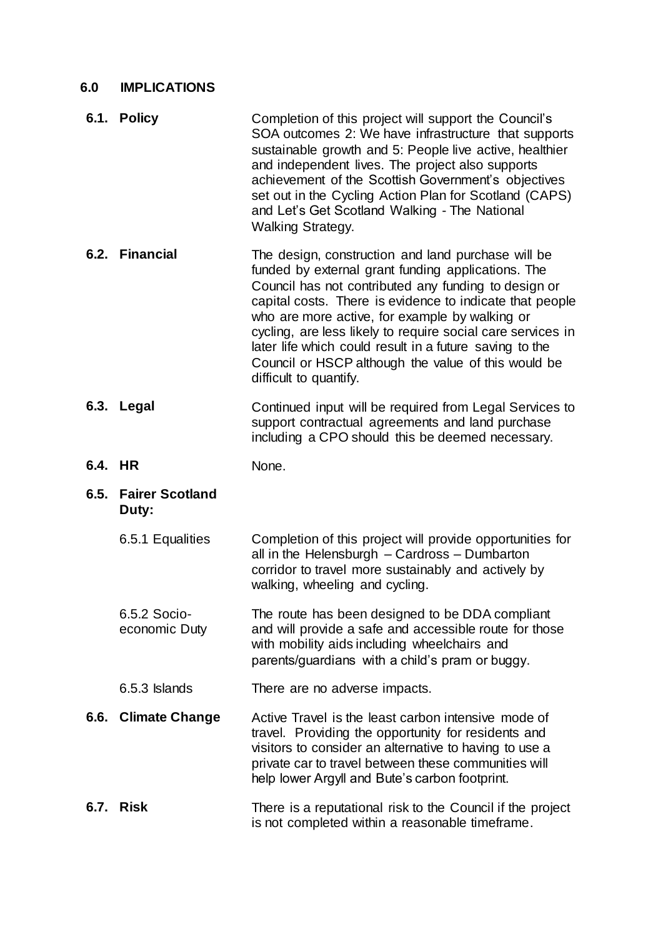# **6.0 IMPLICATIONS**

|         | 6.1. Policy                     | Completion of this project will support the Council's<br>SOA outcomes 2: We have infrastructure that supports<br>sustainable growth and 5: People live active, healthier<br>and independent lives. The project also supports<br>achievement of the Scottish Government's objectives<br>set out in the Cycling Action Plan for Scotland (CAPS)<br>and Let's Get Scotland Walking - The National<br><b>Walking Strategy.</b>                                                                |
|---------|---------------------------------|-------------------------------------------------------------------------------------------------------------------------------------------------------------------------------------------------------------------------------------------------------------------------------------------------------------------------------------------------------------------------------------------------------------------------------------------------------------------------------------------|
|         | 6.2. Financial                  | The design, construction and land purchase will be<br>funded by external grant funding applications. The<br>Council has not contributed any funding to design or<br>capital costs. There is evidence to indicate that people<br>who are more active, for example by walking or<br>cycling, are less likely to require social care services in<br>later life which could result in a future saving to the<br>Council or HSCP although the value of this would be<br>difficult to quantify. |
|         | 6.3. Legal                      | Continued input will be required from Legal Services to<br>support contractual agreements and land purchase<br>including a CPO should this be deemed necessary.                                                                                                                                                                                                                                                                                                                           |
| 6.4. HR |                                 | None.                                                                                                                                                                                                                                                                                                                                                                                                                                                                                     |
| 6.5.    | <b>Fairer Scotland</b><br>Duty: |                                                                                                                                                                                                                                                                                                                                                                                                                                                                                           |
|         | 6.5.1 Equalities                | Completion of this project will provide opportunities for<br>all in the Helensburgh - Cardross - Dumbarton<br>corridor to travel more sustainably and actively by<br>walking, wheeling and cycling.                                                                                                                                                                                                                                                                                       |
|         | 6.5.2 Socio-<br>economic Duty   | The route has been designed to be DDA compliant<br>and will provide a safe and accessible route for those<br>with mobility aids including wheelchairs and<br>parents/guardians with a child's pram or buggy.                                                                                                                                                                                                                                                                              |
|         | 6.5.3 Islands                   | There are no adverse impacts.                                                                                                                                                                                                                                                                                                                                                                                                                                                             |
| 6.6.    | <b>Climate Change</b>           | Active Travel is the least carbon intensive mode of<br>travel. Providing the opportunity for residents and<br>visitors to consider an alternative to having to use a<br>private car to travel between these communities will<br>help lower Argyll and Bute's carbon footprint.                                                                                                                                                                                                            |
|         | <b>6.7. Risk</b>                | There is a reputational risk to the Council if the project<br>is not completed within a reasonable timeframe.                                                                                                                                                                                                                                                                                                                                                                             |